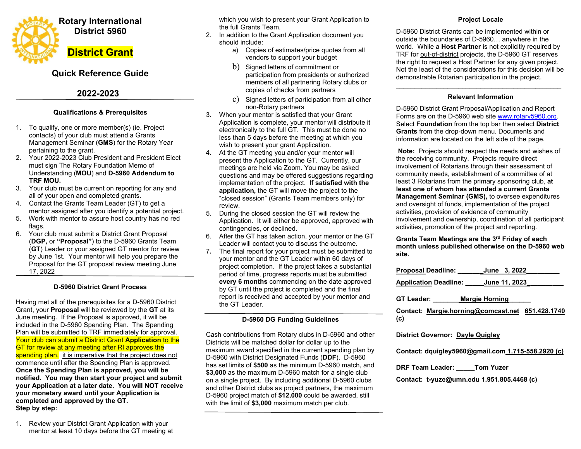

# **Quick Reference Guide**

# **2022-2023**

### **Qualifications & Prerequisites**

- 1. To qualify, one or more member(s) (ie. Project contacts) of your club must attend a Grants Management Seminar (**GMS**) for the Rotary Year pertaining to the grant.
- 2. Your 2022-2023 Club President and President Elect must sign The Rotary Foundation Memo of Understanding (**MOU**) and **D-5960 Addendum to TRF MOU.**
- 3. Your club must be current on reporting for any and all of your open and completed grants.
- 4. Contact the Grants Team Leader (GT) to get a mentor assigned after you identify a potential project.
- 5. Work with mentor to assure host country has no red flags.
- 6. Your club must submit a District Grant Proposal (**DGP,** or **"Proposal"**) to the D-5960 Grants Team (**GT**) Leader or your assigned GT mentor for review by June 1st. Your mentor will help you prepare the Proposal for the GT proposal review meeting June 17, 2022

### **D-5960 District Grant Process**

Having met all of the prerequisites for a D-5960 District Grant, your **Proposal** will be reviewed by the **GT** at its June meeting. If the Proposal is approved, it will be included in the D-5960 Spending Plan. The Spending Plan will be submitted to TRF immediately for approval. Your club can submit a District Grant **Application** to the GT for review at any meeting after RI approves the spending plan. it is imperative that the project does not commence until after the Spending Plan is approved. **Once the Spending Plan is approved, you will be notified. You may then start your project and submit your Application at a later date. You will NOT receive your monetary award until your Application is completed and approved by the GT. Step by step:** 

1. Review your District Grant Application with your mentor at least 10 days before the GT meeting at which you wish to present your Grant Application to the full Grants Team.

2. In addition to the Grant Application document you should include:

- a) Copies of estimates/price quotes from all vendors to support your budget
- b) Signed letters of commitment or participation from presidents or authorized members of all partnering Rotary clubs or copies of checks from partners
- c) Signed letters of participation from all other non-Rotary partners
- 3. When your mentor is satisfied that your Grant Application is complete, your mentor will distribute it electronically to the full GT. This must be done no less than 5 days before the meeting at which you wish to present your grant Application.
- 4. At the GT meeting you and/or your mentor will present the Application to the GT. Currently, our meetings are held via Zoom. You may be asked questions and may be offered suggestions regarding implementation of the project. **If satisfied with the application,** the GT will move the project to the "closed session" (Grants Team members only) for review.
- 5. During the closed session the GT will review the Application. It will either be approved, approved with contingencies, or declined.
- 6. After the GT has taken action, your mentor or the GT Leader will contact you to discuss the outcome.
- 7**.** The final report for your project must be submitted to your mentor and the GT Leader within 60 days of project completion. If the project takes a substantial period of time, progress reports must be submitted **every 6 months** commencing on the date approved by GT until the project is completed and the final report is received and accepted by your mentor and the GT Leader.

### **D-5960 DG Funding Guidelines**

Cash contributions from Rotary clubs in D-5960 and other Districts will be matched dollar for dollar up to the maximum award specified in the current spending plan by D-5960 with District Designated Funds (**DDF**). D-5960 has set limits of **\$500** as the minimum D-5960 match, and **\$3,000** as the maximum D-5960 match for a single club on a single project. By including additional D-5960 clubs and other District clubs as project partners, the maximum D-5960 project match of **\$12,000** could be awarded, still with the limit of **\$3,000** maximum match per club.

### **Project Locale**

D-5960 District Grants can be implemented within or outside the boundaries of D-5960… anywhere in the world. While a **Host Partner** is not explicitly required by TRF for out-of-district projects, the D-5960 GT reserves the right to request a Host Partner for any given project. Not the least of the considerations for this decision will be demonstrable Rotarian participation in the project.

#### \_\_\_\_\_\_\_\_\_\_\_\_\_\_\_\_\_\_\_\_\_\_\_\_\_\_\_\_\_\_\_\_\_\_\_\_\_\_\_\_\_\_\_\_\_ **Relevant Information**

D-5960 District Grant Proposal/Application and Report Forms are on the D-5960 web site www.rotary5960.org. Select **Foundation** from the top bar then select **District Grants** from the drop-down menu. Documents and information are located on the left side of the page.

 **Note:** Projects should respect the needs and wishes of the receiving community. Projects require direct involvement of Rotarians through their assessment of community needs, establishment of a committee of at least 3 Rotarians from the primary sponsoring club, **at least one of whom has attended a current GrantsManagement Seminar (GMS),** to oversee expenditures and oversight of funds, implementation of the project activities, provision of evidence of community involvement and ownership, coordination of all participant activities, promotion of the project and reporting.

**Grants Team Meetings are the 3rd Friday of each month unless published otherwise on the D-5960 web site.** 

|                               | Proposal Deadline:                                |                       | June 3, 2022 |                                                  |
|-------------------------------|---------------------------------------------------|-----------------------|--------------|--------------------------------------------------|
|                               | <u> Application</u> Deadline: ______June 11, 2023 |                       |              |                                                  |
| GT Leader: www.<br><u>(c)</u> |                                                   | <b>Margie Horning</b> |              | Contact: Margie.horning@comcast.net 651.428.1740 |
|                               |                                                   |                       |              |                                                  |

**District Governor: Dayle Quigley** 

**Contact: dquigley5960@gmail.com 1.715-558.2920 (c)** 

**DRF Team Leader: \_\_\_\_\_Tom Yuzer** 

**Contact: t-yuze@umn.edu 1.951.805.4468 (c)**